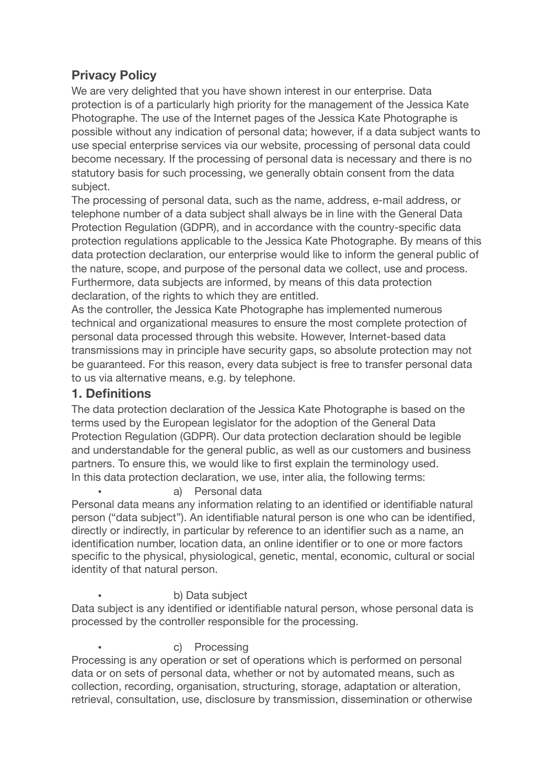# **Privacy Policy**

We are very delighted that you have shown interest in our enterprise. Data protection is of a particularly high priority for the management of the Jessica Kate Photographe. The use of the Internet pages of the Jessica Kate Photographe is possible without any indication of personal data; however, if a data subject wants to use special enterprise services via our website, processing of personal data could become necessary. If the processing of personal data is necessary and there is no statutory basis for such processing, we generally obtain consent from the data subject.

The processing of personal data, such as the name, address, e-mail address, or telephone number of a data subject shall always be in line with the General Data Protection Regulation (GDPR), and in accordance with the country-specific data protection regulations applicable to the Jessica Kate Photographe. By means of this data protection declaration, our enterprise would like to inform the general public of the nature, scope, and purpose of the personal data we collect, use and process. Furthermore, data subjects are informed, by means of this data protection declaration, of the rights to which they are entitled.

As the controller, the Jessica Kate Photographe has implemented numerous technical and organizational measures to ensure the most complete protection of personal data processed through this website. However, Internet-based data transmissions may in principle have security gaps, so absolute protection may not be guaranteed. For this reason, every data subject is free to transfer personal data to us via alternative means, e.g. by telephone.

## **1. Definitions**

The data protection declaration of the Jessica Kate Photographe is based on the terms used by the European legislator for the adoption of the General Data Protection Regulation (GDPR). Our data protection declaration should be legible and understandable for the general public, as well as our customers and business partners. To ensure this, we would like to first explain the terminology used. In this data protection declaration, we use, inter alia, the following terms:

a) Personal data

Personal data means any information relating to an identified or identifiable natural person ("data subject"). An identifiable natural person is one who can be identified, directly or indirectly, in particular by reference to an identifier such as a name, an identification number, location data, an online identifier or to one or more factors specific to the physical, physiological, genetic, mental, economic, cultural or social identity of that natural person.

### b) Data subject

Data subject is any identified or identifiable natural person, whose personal data is processed by the controller responsible for the processing.

#### c) Processing

Processing is any operation or set of operations which is performed on personal data or on sets of personal data, whether or not by automated means, such as collection, recording, organisation, structuring, storage, adaptation or alteration, retrieval, consultation, use, disclosure by transmission, dissemination or otherwise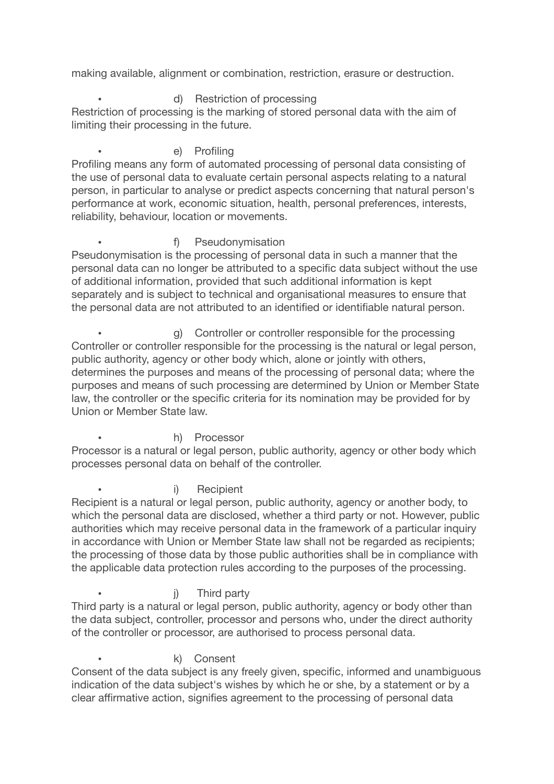making available, alignment or combination, restriction, erasure or destruction.

### • d) Restriction of processing

Restriction of processing is the marking of stored personal data with the aim of limiting their processing in the future.

#### e) Profiling

Profiling means any form of automated processing of personal data consisting of the use of personal data to evaluate certain personal aspects relating to a natural person, in particular to analyse or predict aspects concerning that natural person's performance at work, economic situation, health, personal preferences, interests, reliability, behaviour, location or movements.

#### • **f)** Pseudonymisation

Pseudonymisation is the processing of personal data in such a manner that the personal data can no longer be attributed to a specific data subject without the use of additional information, provided that such additional information is kept separately and is subject to technical and organisational measures to ensure that the personal data are not attributed to an identified or identifiable natural person.

g) Controller or controller responsible for the processing Controller or controller responsible for the processing is the natural or legal person, public authority, agency or other body which, alone or jointly with others, determines the purposes and means of the processing of personal data; where the purposes and means of such processing are determined by Union or Member State law, the controller or the specific criteria for its nomination may be provided for by Union or Member State law.

h) Processor

Processor is a natural or legal person, public authority, agency or other body which processes personal data on behalf of the controller.

i) Recipient

Recipient is a natural or legal person, public authority, agency or another body, to which the personal data are disclosed, whether a third party or not. However, public authorities which may receive personal data in the framework of a particular inquiry in accordance with Union or Member State law shall not be regarded as recipients; the processing of those data by those public authorities shall be in compliance with the applicable data protection rules according to the purposes of the processing.

j) Third party

Third party is a natural or legal person, public authority, agency or body other than the data subject, controller, processor and persons who, under the direct authority of the controller or processor, are authorised to process personal data.

#### • k) Consent

Consent of the data subject is any freely given, specific, informed and unambiguous indication of the data subject's wishes by which he or she, by a statement or by a clear affirmative action, signifies agreement to the processing of personal data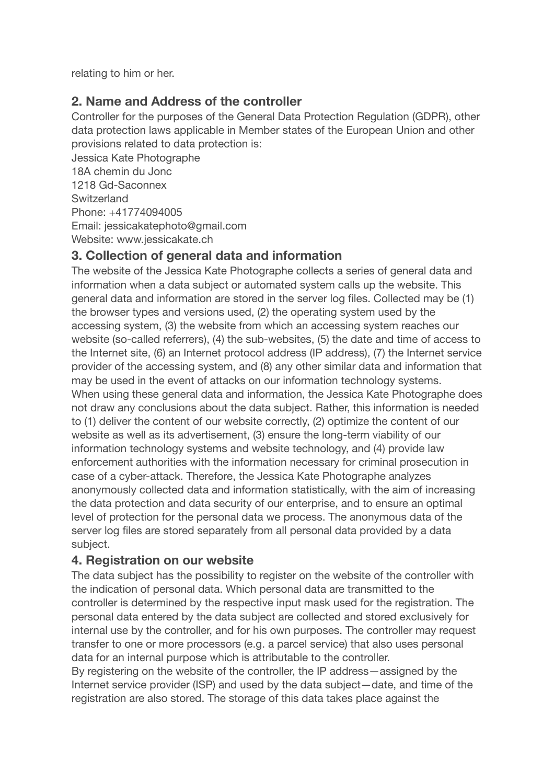relating to him or her.

# **2. Name and Address of the controller**

Controller for the purposes of the General Data Protection Regulation (GDPR), other data protection laws applicable in Member states of the European Union and other provisions related to data protection is:

Jessica Kate Photographe 18A chemin du Jonc 1218 Gd-Saconnex **Switzerland** Phone: +41774094005 Email: jessicakatephoto@gmail.com Website: www.jessicakate.ch

# **3. Collection of general data and information**

The website of the Jessica Kate Photographe collects a series of general data and information when a data subject or automated system calls up the website. This general data and information are stored in the server log files. Collected may be (1) the browser types and versions used, (2) the operating system used by the accessing system, (3) the website from which an accessing system reaches our website (so-called referrers), (4) the sub-websites, (5) the date and time of access to the Internet site, (6) an Internet protocol address (IP address), (7) the Internet service provider of the accessing system, and (8) any other similar data and information that may be used in the event of attacks on our information technology systems. When using these general data and information, the Jessica Kate Photographe does not draw any conclusions about the data subject. Rather, this information is needed to (1) deliver the content of our website correctly, (2) optimize the content of our website as well as its advertisement, (3) ensure the long-term viability of our information technology systems and website technology, and (4) provide law enforcement authorities with the information necessary for criminal prosecution in case of a cyber-attack. Therefore, the Jessica Kate Photographe analyzes anonymously collected data and information statistically, with the aim of increasing the data protection and data security of our enterprise, and to ensure an optimal level of protection for the personal data we process. The anonymous data of the server log files are stored separately from all personal data provided by a data subject.

# **4. Registration on our website**

The data subject has the possibility to register on the website of the controller with the indication of personal data. Which personal data are transmitted to the controller is determined by the respective input mask used for the registration. The personal data entered by the data subject are collected and stored exclusively for internal use by the controller, and for his own purposes. The controller may request transfer to one or more processors (e.g. a parcel service) that also uses personal data for an internal purpose which is attributable to the controller.

By registering on the website of the controller, the IP address—assigned by the Internet service provider (ISP) and used by the data subject—date, and time of the registration are also stored. The storage of this data takes place against the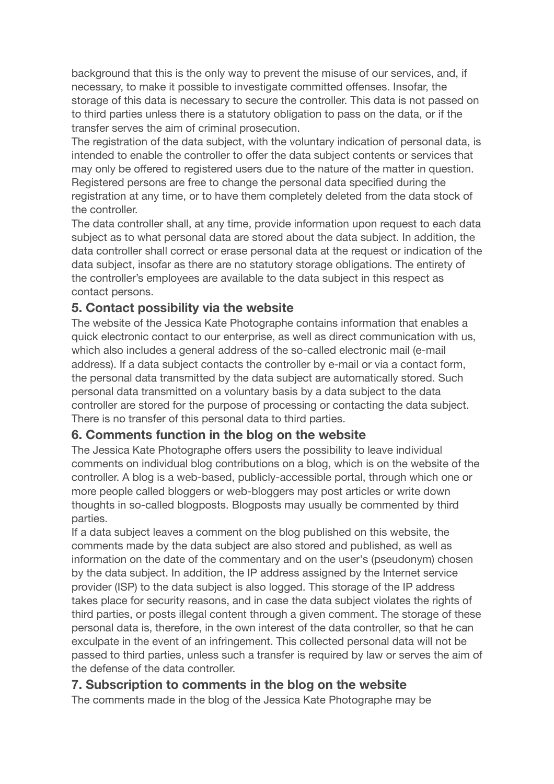background that this is the only way to prevent the misuse of our services, and, if necessary, to make it possible to investigate committed offenses. Insofar, the storage of this data is necessary to secure the controller. This data is not passed on to third parties unless there is a statutory obligation to pass on the data, or if the transfer serves the aim of criminal prosecution.

The registration of the data subject, with the voluntary indication of personal data, is intended to enable the controller to offer the data subject contents or services that may only be offered to registered users due to the nature of the matter in question. Registered persons are free to change the personal data specified during the registration at any time, or to have them completely deleted from the data stock of the controller.

The data controller shall, at any time, provide information upon request to each data subject as to what personal data are stored about the data subject. In addition, the data controller shall correct or erase personal data at the request or indication of the data subject, insofar as there are no statutory storage obligations. The entirety of the controller's employees are available to the data subject in this respect as contact persons.

### **5. Contact possibility via the website**

The website of the Jessica Kate Photographe contains information that enables a quick electronic contact to our enterprise, as well as direct communication with us, which also includes a general address of the so-called electronic mail (e-mail address). If a data subject contacts the controller by e-mail or via a contact form, the personal data transmitted by the data subject are automatically stored. Such personal data transmitted on a voluntary basis by a data subject to the data controller are stored for the purpose of processing or contacting the data subject. There is no transfer of this personal data to third parties.

### **6. Comments function in the blog on the website**

The Jessica Kate Photographe offers users the possibility to leave individual comments on individual blog contributions on a blog, which is on the website of the controller. A blog is a web-based, publicly-accessible portal, through which one or more people called bloggers or web-bloggers may post articles or write down thoughts in so-called blogposts. Blogposts may usually be commented by third parties.

If a data subject leaves a comment on the blog published on this website, the comments made by the data subject are also stored and published, as well as information on the date of the commentary and on the user's (pseudonym) chosen by the data subject. In addition, the IP address assigned by the Internet service provider (ISP) to the data subject is also logged. This storage of the IP address takes place for security reasons, and in case the data subject violates the rights of third parties, or posts illegal content through a given comment. The storage of these personal data is, therefore, in the own interest of the data controller, so that he can exculpate in the event of an infringement. This collected personal data will not be passed to third parties, unless such a transfer is required by law or serves the aim of the defense of the data controller.

### **7. Subscription to comments in the blog on the website**

The comments made in the blog of the Jessica Kate Photographe may be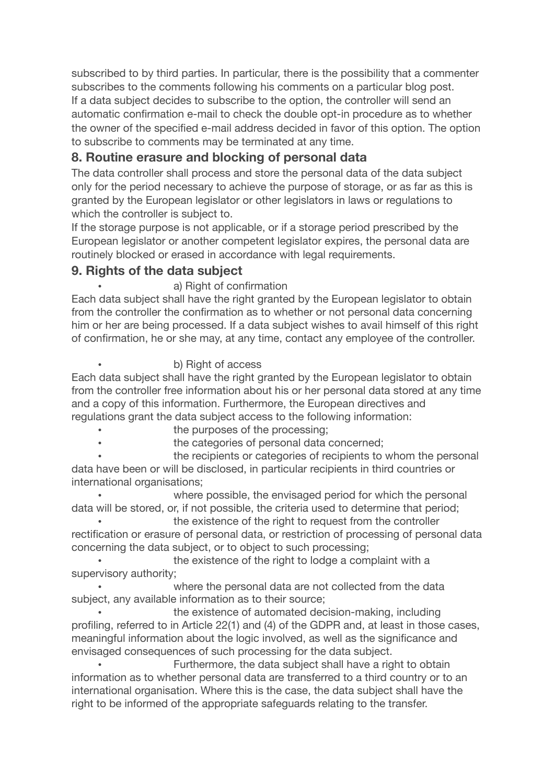subscribed to by third parties. In particular, there is the possibility that a commenter subscribes to the comments following his comments on a particular blog post. If a data subject decides to subscribe to the option, the controller will send an automatic confirmation e-mail to check the double opt-in procedure as to whether the owner of the specified e-mail address decided in favor of this option. The option to subscribe to comments may be terminated at any time.

## **8. Routine erasure and blocking of personal data**

The data controller shall process and store the personal data of the data subject only for the period necessary to achieve the purpose of storage, or as far as this is granted by the European legislator or other legislators in laws or regulations to which the controller is subject to.

If the storage purpose is not applicable, or if a storage period prescribed by the European legislator or another competent legislator expires, the personal data are routinely blocked or erased in accordance with legal requirements.

### **9. Rights of the data subject**

### a) Right of confirmation

Each data subject shall have the right granted by the European legislator to obtain from the controller the confirmation as to whether or not personal data concerning him or her are being processed. If a data subject wishes to avail himself of this right of confirmation, he or she may, at any time, contact any employee of the controller.

### • b) Right of access

Each data subject shall have the right granted by the European legislator to obtain from the controller free information about his or her personal data stored at any time and a copy of this information. Furthermore, the European directives and regulations grant the data subject access to the following information:

- the purposes of the processing;
- the categories of personal data concerned;

the recipients or categories of recipients to whom the personal data have been or will be disclosed, in particular recipients in third countries or international organisations;

where possible, the envisaged period for which the personal data will be stored, or, if not possible, the criteria used to determine that period;

the existence of the right to request from the controller rectification or erasure of personal data, or restriction of processing of personal data concerning the data subject, or to object to such processing;

the existence of the right to lodge a complaint with a supervisory authority;

where the personal data are not collected from the data subject, any available information as to their source;

the existence of automated decision-making, including profiling, referred to in Article 22(1) and (4) of the GDPR and, at least in those cases, meaningful information about the logic involved, as well as the significance and envisaged consequences of such processing for the data subject.

Furthermore, the data subject shall have a right to obtain information as to whether personal data are transferred to a third country or to an international organisation. Where this is the case, the data subject shall have the right to be informed of the appropriate safeguards relating to the transfer.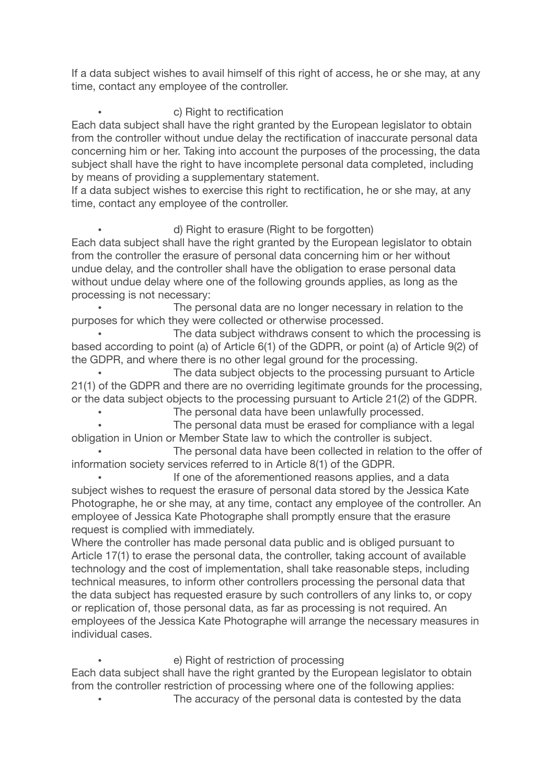If a data subject wishes to avail himself of this right of access, he or she may, at any time, contact any employee of the controller.

### • c) Right to rectification

Each data subject shall have the right granted by the European legislator to obtain from the controller without undue delay the rectification of inaccurate personal data concerning him or her. Taking into account the purposes of the processing, the data subject shall have the right to have incomplete personal data completed, including by means of providing a supplementary statement.

If a data subject wishes to exercise this right to rectification, he or she may, at any time, contact any employee of the controller.

#### • d) Right to erasure (Right to be forgotten)

Each data subject shall have the right granted by the European legislator to obtain from the controller the erasure of personal data concerning him or her without undue delay, and the controller shall have the obligation to erase personal data without undue delay where one of the following grounds applies, as long as the processing is not necessary:

The personal data are no longer necessary in relation to the purposes for which they were collected or otherwise processed.

The data subject withdraws consent to which the processing is based according to point (a) of Article 6(1) of the GDPR, or point (a) of Article 9(2) of the GDPR, and where there is no other legal ground for the processing.

The data subject objects to the processing pursuant to Article 21(1) of the GDPR and there are no overriding legitimate grounds for the processing, or the data subject objects to the processing pursuant to Article 21(2) of the GDPR.

The personal data have been unlawfully processed.

The personal data must be erased for compliance with a legal obligation in Union or Member State law to which the controller is subject.

The personal data have been collected in relation to the offer of information society services referred to in Article 8(1) of the GDPR.

If one of the aforementioned reasons applies, and a data subject wishes to request the erasure of personal data stored by the Jessica Kate Photographe, he or she may, at any time, contact any employee of the controller. An employee of Jessica Kate Photographe shall promptly ensure that the erasure request is complied with immediately.

Where the controller has made personal data public and is obliged pursuant to Article 17(1) to erase the personal data, the controller, taking account of available technology and the cost of implementation, shall take reasonable steps, including technical measures, to inform other controllers processing the personal data that the data subject has requested erasure by such controllers of any links to, or copy or replication of, those personal data, as far as processing is not required. An employees of the Jessica Kate Photographe will arrange the necessary measures in individual cases.

#### e) Right of restriction of processing

Each data subject shall have the right granted by the European legislator to obtain from the controller restriction of processing where one of the following applies:

The accuracy of the personal data is contested by the data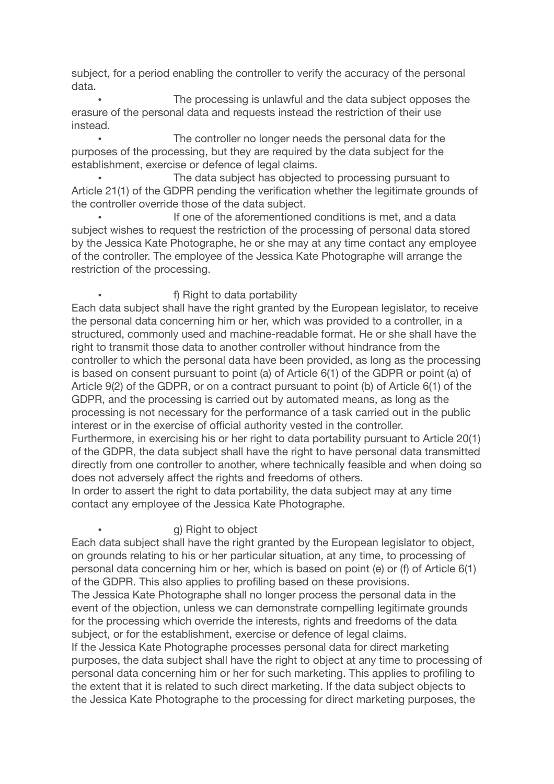subject, for a period enabling the controller to verify the accuracy of the personal data.

The processing is unlawful and the data subject opposes the erasure of the personal data and requests instead the restriction of their use instead.

The controller no longer needs the personal data for the purposes of the processing, but they are required by the data subject for the establishment, exercise or defence of legal claims.

The data subject has objected to processing pursuant to Article 21(1) of the GDPR pending the verification whether the legitimate grounds of the controller override those of the data subject.

If one of the aforementioned conditions is met, and a data subject wishes to request the restriction of the processing of personal data stored by the Jessica Kate Photographe, he or she may at any time contact any employee of the controller. The employee of the Jessica Kate Photographe will arrange the restriction of the processing.

#### • f) Right to data portability

Each data subject shall have the right granted by the European legislator, to receive the personal data concerning him or her, which was provided to a controller, in a structured, commonly used and machine-readable format. He or she shall have the right to transmit those data to another controller without hindrance from the controller to which the personal data have been provided, as long as the processing is based on consent pursuant to point (a) of Article 6(1) of the GDPR or point (a) of Article 9(2) of the GDPR, or on a contract pursuant to point (b) of Article 6(1) of the GDPR, and the processing is carried out by automated means, as long as the processing is not necessary for the performance of a task carried out in the public interest or in the exercise of official authority vested in the controller.

Furthermore, in exercising his or her right to data portability pursuant to Article 20(1) of the GDPR, the data subject shall have the right to have personal data transmitted directly from one controller to another, where technically feasible and when doing so does not adversely affect the rights and freedoms of others.

In order to assert the right to data portability, the data subject may at any time contact any employee of the Jessica Kate Photographe.

#### g) Right to object

Each data subject shall have the right granted by the European legislator to object, on grounds relating to his or her particular situation, at any time, to processing of personal data concerning him or her, which is based on point (e) or (f) of Article 6(1) of the GDPR. This also applies to profiling based on these provisions.

The Jessica Kate Photographe shall no longer process the personal data in the event of the objection, unless we can demonstrate compelling legitimate grounds for the processing which override the interests, rights and freedoms of the data subject, or for the establishment, exercise or defence of legal claims. If the Jessica Kate Photographe processes personal data for direct marketing purposes, the data subject shall have the right to object at any time to processing of personal data concerning him or her for such marketing. This applies to profiling to the extent that it is related to such direct marketing. If the data subject objects to the Jessica Kate Photographe to the processing for direct marketing purposes, the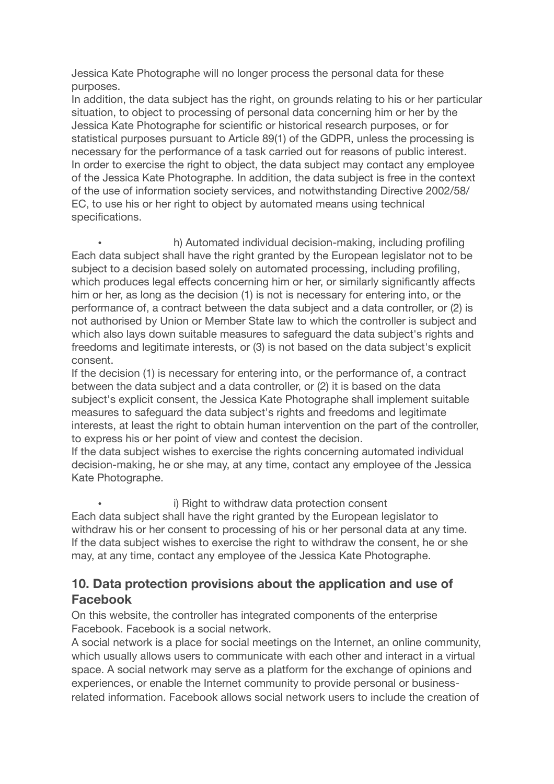Jessica Kate Photographe will no longer process the personal data for these purposes.

In addition, the data subject has the right, on grounds relating to his or her particular situation, to object to processing of personal data concerning him or her by the Jessica Kate Photographe for scientific or historical research purposes, or for statistical purposes pursuant to Article 89(1) of the GDPR, unless the processing is necessary for the performance of a task carried out for reasons of public interest. In order to exercise the right to object, the data subject may contact any employee of the Jessica Kate Photographe. In addition, the data subject is free in the context of the use of information society services, and notwithstanding Directive 2002/58/ EC, to use his or her right to object by automated means using technical specifications.

• h) Automated individual decision-making, including profiling Each data subject shall have the right granted by the European legislator not to be subject to a decision based solely on automated processing, including profiling, which produces legal effects concerning him or her, or similarly significantly affects him or her, as long as the decision (1) is not is necessary for entering into, or the performance of, a contract between the data subject and a data controller, or (2) is not authorised by Union or Member State law to which the controller is subject and which also lays down suitable measures to safeguard the data subject's rights and freedoms and legitimate interests, or (3) is not based on the data subject's explicit consent.

If the decision (1) is necessary for entering into, or the performance of, a contract between the data subject and a data controller, or (2) it is based on the data subject's explicit consent, the Jessica Kate Photographe shall implement suitable measures to safeguard the data subject's rights and freedoms and legitimate interests, at least the right to obtain human intervention on the part of the controller, to express his or her point of view and contest the decision.

If the data subject wishes to exercise the rights concerning automated individual decision-making, he or she may, at any time, contact any employee of the Jessica Kate Photographe.

i) Right to withdraw data protection consent

Each data subject shall have the right granted by the European legislator to withdraw his or her consent to processing of his or her personal data at any time. If the data subject wishes to exercise the right to withdraw the consent, he or she may, at any time, contact any employee of the Jessica Kate Photographe.

# **10. Data protection provisions about the application and use of Facebook**

On this website, the controller has integrated components of the enterprise Facebook. Facebook is a social network.

A social network is a place for social meetings on the Internet, an online community, which usually allows users to communicate with each other and interact in a virtual space. A social network may serve as a platform for the exchange of opinions and experiences, or enable the Internet community to provide personal or businessrelated information. Facebook allows social network users to include the creation of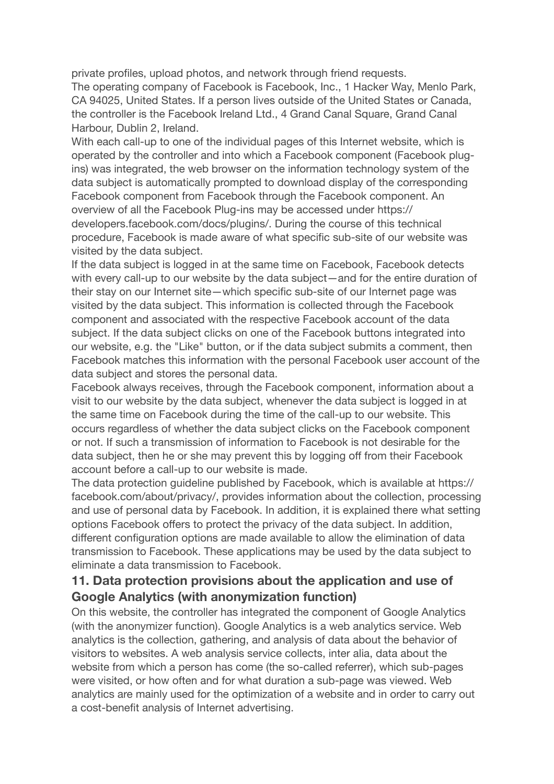private profiles, upload photos, and network through friend requests.

The operating company of Facebook is Facebook, Inc., 1 Hacker Way, Menlo Park, CA 94025, United States. If a person lives outside of the United States or Canada, the controller is the Facebook Ireland Ltd., 4 Grand Canal Square, Grand Canal Harbour, Dublin 2, Ireland.

With each call-up to one of the individual pages of this Internet website, which is operated by the controller and into which a Facebook component (Facebook plugins) was integrated, the web browser on the information technology system of the data subject is automatically prompted to download display of the corresponding Facebook component from Facebook through the Facebook component. An overview of all the Facebook Plug-ins may be accessed under https:// developers.facebook.com/docs/plugins/. During the course of this technical procedure, Facebook is made aware of what specific sub-site of our website was visited by the data subject.

If the data subject is logged in at the same time on Facebook, Facebook detects with every call-up to our website by the data subject—and for the entire duration of their stay on our Internet site—which specific sub-site of our Internet page was visited by the data subject. This information is collected through the Facebook component and associated with the respective Facebook account of the data subject. If the data subject clicks on one of the Facebook buttons integrated into our website, e.g. the "Like" button, or if the data subject submits a comment, then Facebook matches this information with the personal Facebook user account of the data subject and stores the personal data.

Facebook always receives, through the Facebook component, information about a visit to our website by the data subject, whenever the data subject is logged in at the same time on Facebook during the time of the call-up to our website. This occurs regardless of whether the data subject clicks on the Facebook component or not. If such a transmission of information to Facebook is not desirable for the data subject, then he or she may prevent this by logging off from their Facebook account before a call-up to our website is made.

The data protection guideline published by Facebook, which is available at https:// facebook.com/about/privacy/, provides information about the collection, processing and use of personal data by Facebook. In addition, it is explained there what setting options Facebook offers to protect the privacy of the data subject. In addition, different configuration options are made available to allow the elimination of data transmission to Facebook. These applications may be used by the data subject to eliminate a data transmission to Facebook.

## **11. Data protection provisions about the application and use of Google Analytics (with anonymization function)**

On this website, the controller has integrated the component of Google Analytics (with the anonymizer function). Google Analytics is a web analytics service. Web analytics is the collection, gathering, and analysis of data about the behavior of visitors to websites. A web analysis service collects, inter alia, data about the website from which a person has come (the so-called referrer), which sub-pages were visited, or how often and for what duration a sub-page was viewed. Web analytics are mainly used for the optimization of a website and in order to carry out a cost-benefit analysis of Internet advertising.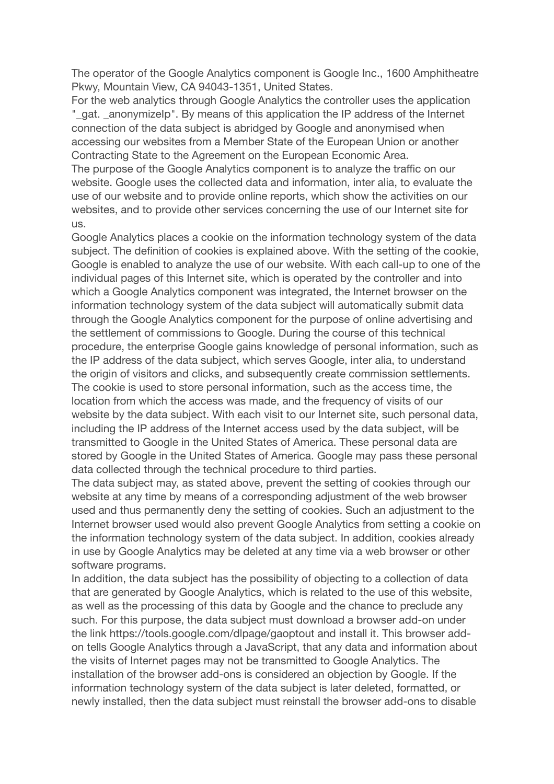The operator of the Google Analytics component is Google Inc., 1600 Amphitheatre Pkwy, Mountain View, CA 94043-1351, United States.

For the web analytics through Google Analytics the controller uses the application "\_gat. \_anonymizeIp". By means of this application the IP address of the Internet connection of the data subject is abridged by Google and anonymised when accessing our websites from a Member State of the European Union or another Contracting State to the Agreement on the European Economic Area.

The purpose of the Google Analytics component is to analyze the traffic on our website. Google uses the collected data and information, inter alia, to evaluate the use of our website and to provide online reports, which show the activities on our websites, and to provide other services concerning the use of our Internet site for us.

Google Analytics places a cookie on the information technology system of the data subject. The definition of cookies is explained above. With the setting of the cookie, Google is enabled to analyze the use of our website. With each call-up to one of the individual pages of this Internet site, which is operated by the controller and into which a Google Analytics component was integrated, the Internet browser on the information technology system of the data subject will automatically submit data through the Google Analytics component for the purpose of online advertising and the settlement of commissions to Google. During the course of this technical procedure, the enterprise Google gains knowledge of personal information, such as the IP address of the data subject, which serves Google, inter alia, to understand the origin of visitors and clicks, and subsequently create commission settlements. The cookie is used to store personal information, such as the access time, the location from which the access was made, and the frequency of visits of our website by the data subject. With each visit to our Internet site, such personal data, including the IP address of the Internet access used by the data subject, will be transmitted to Google in the United States of America. These personal data are stored by Google in the United States of America. Google may pass these personal data collected through the technical procedure to third parties.

The data subject may, as stated above, prevent the setting of cookies through our website at any time by means of a corresponding adjustment of the web browser used and thus permanently deny the setting of cookies. Such an adjustment to the Internet browser used would also prevent Google Analytics from setting a cookie on the information technology system of the data subject. In addition, cookies already in use by Google Analytics may be deleted at any time via a web browser or other software programs.

In addition, the data subject has the possibility of objecting to a collection of data that are generated by Google Analytics, which is related to the use of this website, as well as the processing of this data by Google and the chance to preclude any such. For this purpose, the data subject must download a browser add-on under the link https://tools.google.com/dlpage/gaoptout and install it. This browser addon tells Google Analytics through a JavaScript, that any data and information about the visits of Internet pages may not be transmitted to Google Analytics. The installation of the browser add-ons is considered an objection by Google. If the information technology system of the data subject is later deleted, formatted, or newly installed, then the data subject must reinstall the browser add-ons to disable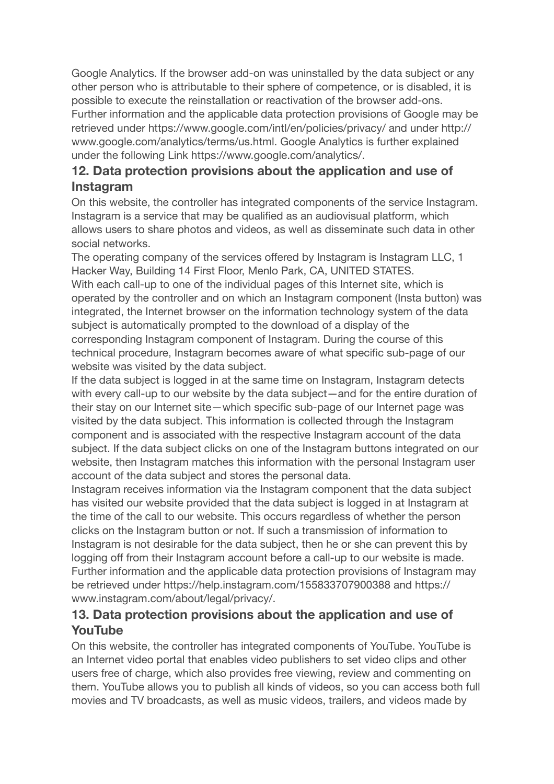Google Analytics. If the browser add-on was uninstalled by the data subject or any other person who is attributable to their sphere of competence, or is disabled, it is possible to execute the reinstallation or reactivation of the browser add-ons. Further information and the applicable data protection provisions of Google may be retrieved under https://www.google.com/intl/en/policies/privacy/ and under http:// www.google.com/analytics/terms/us.html. Google Analytics is further explained under the following Link https://www.google.com/analytics/.

# **12. Data protection provisions about the application and use of Instagram**

On this website, the controller has integrated components of the service Instagram. Instagram is a service that may be qualified as an audiovisual platform, which allows users to share photos and videos, as well as disseminate such data in other social networks.

The operating company of the services offered by Instagram is Instagram LLC, 1 Hacker Way, Building 14 First Floor, Menlo Park, CA, UNITED STATES. With each call-up to one of the individual pages of this Internet site, which is operated by the controller and on which an Instagram component (Insta button) was integrated, the Internet browser on the information technology system of the data subject is automatically prompted to the download of a display of the corresponding Instagram component of Instagram. During the course of this technical procedure, Instagram becomes aware of what specific sub-page of our website was visited by the data subject.

If the data subject is logged in at the same time on Instagram, Instagram detects with every call-up to our website by the data subject—and for the entire duration of their stay on our Internet site—which specific sub-page of our Internet page was visited by the data subject. This information is collected through the Instagram component and is associated with the respective Instagram account of the data subject. If the data subject clicks on one of the Instagram buttons integrated on our website, then Instagram matches this information with the personal Instagram user account of the data subject and stores the personal data.

Instagram receives information via the Instagram component that the data subject has visited our website provided that the data subject is logged in at Instagram at the time of the call to our website. This occurs regardless of whether the person clicks on the Instagram button or not. If such a transmission of information to Instagram is not desirable for the data subject, then he or she can prevent this by logging off from their Instagram account before a call-up to our website is made. Further information and the applicable data protection provisions of Instagram may be retrieved under https://help.instagram.com/155833707900388 and https:// www.instagram.com/about/legal/privacy/.

# **13. Data protection provisions about the application and use of YouTube**

On this website, the controller has integrated components of YouTube. YouTube is an Internet video portal that enables video publishers to set video clips and other users free of charge, which also provides free viewing, review and commenting on them. YouTube allows you to publish all kinds of videos, so you can access both full movies and TV broadcasts, as well as music videos, trailers, and videos made by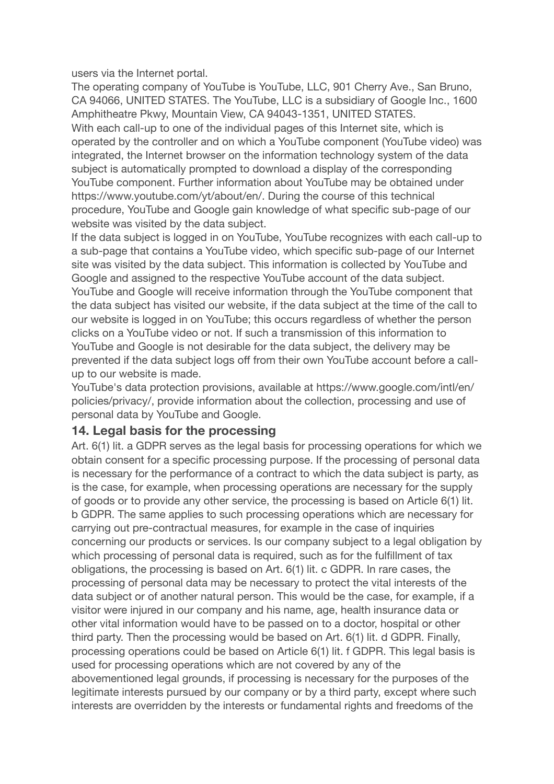users via the Internet portal.

The operating company of YouTube is YouTube, LLC, 901 Cherry Ave., San Bruno, CA 94066, UNITED STATES. The YouTube, LLC is a subsidiary of Google Inc., 1600 Amphitheatre Pkwy, Mountain View, CA 94043-1351, UNITED STATES. With each call-up to one of the individual pages of this Internet site, which is operated by the controller and on which a YouTube component (YouTube video) was integrated, the Internet browser on the information technology system of the data subject is automatically prompted to download a display of the corresponding YouTube component. Further information about YouTube may be obtained under https://www.youtube.com/yt/about/en/. During the course of this technical procedure, YouTube and Google gain knowledge of what specific sub-page of our website was visited by the data subject.

If the data subject is logged in on YouTube, YouTube recognizes with each call-up to a sub-page that contains a YouTube video, which specific sub-page of our Internet site was visited by the data subject. This information is collected by YouTube and Google and assigned to the respective YouTube account of the data subject. YouTube and Google will receive information through the YouTube component that the data subject has visited our website, if the data subject at the time of the call to our website is logged in on YouTube; this occurs regardless of whether the person clicks on a YouTube video or not. If such a transmission of this information to YouTube and Google is not desirable for the data subject, the delivery may be prevented if the data subject logs off from their own YouTube account before a callup to our website is made.

YouTube's data protection provisions, available at https://www.google.com/intl/en/ policies/privacy/, provide information about the collection, processing and use of personal data by YouTube and Google.

### **14. Legal basis for the processing**

Art. 6(1) lit. a GDPR serves as the legal basis for processing operations for which we obtain consent for a specific processing purpose. If the processing of personal data is necessary for the performance of a contract to which the data subject is party, as is the case, for example, when processing operations are necessary for the supply of goods or to provide any other service, the processing is based on Article 6(1) lit. b GDPR. The same applies to such processing operations which are necessary for carrying out pre-contractual measures, for example in the case of inquiries concerning our products or services. Is our company subject to a legal obligation by which processing of personal data is required, such as for the fulfillment of tax obligations, the processing is based on Art. 6(1) lit. c GDPR. In rare cases, the processing of personal data may be necessary to protect the vital interests of the data subject or of another natural person. This would be the case, for example, if a visitor were injured in our company and his name, age, health insurance data or other vital information would have to be passed on to a doctor, hospital or other third party. Then the processing would be based on Art. 6(1) lit. d GDPR. Finally, processing operations could be based on Article 6(1) lit. f GDPR. This legal basis is used for processing operations which are not covered by any of the abovementioned legal grounds, if processing is necessary for the purposes of the legitimate interests pursued by our company or by a third party, except where such interests are overridden by the interests or fundamental rights and freedoms of the